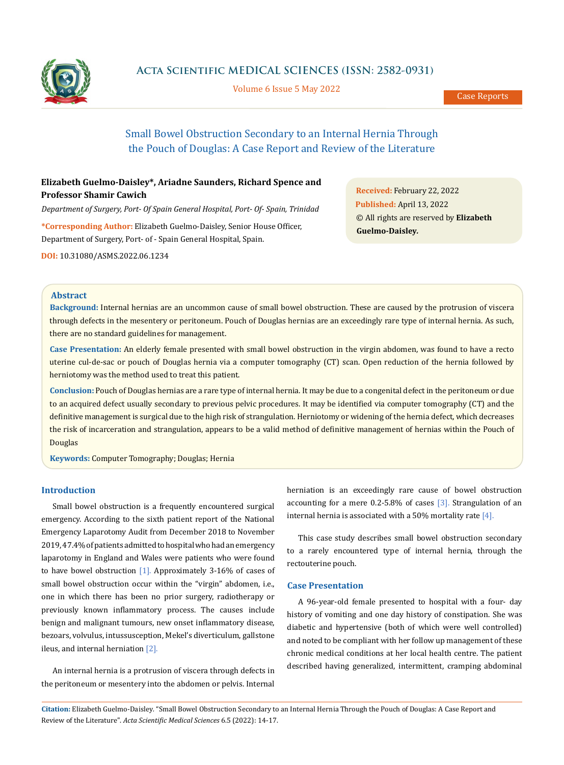

# **Acta Scientific MEDICAL SCIENCES (ISSN: 2582-0931)**

Volume 6 Issue 5 May 2022

# Small Bowel Obstruction Secondary to an Internal Hernia Through the Pouch of Douglas: A Case Report and Review of the Literature

# **Elizabeth Guelmo-Daisley\*, Ariadne Saunders, Richard Spence and Professor Shamir Cawich**

*Department of Surgery, Port- Of Spain General Hospital, Port- Of- Spain, Trinidad*

**\*Corresponding Author:** Elizabeth Guelmo-Daisley, Senior House Officer, Department of Surgery, Port- of - Spain General Hospital, Spain.

**DOI:** [10.31080/ASMS.2022.06.1234](http:// actascientific.com/ASMS/pdf/ASMS-06-1234.pdf)

**Received:** February 22, 2022 **Published:** April 13, 2022 © All rights are reserved by **Elizabeth Guelmo-Daisley***.*

# **Abstract**

**Background:** Internal hernias are an uncommon cause of small bowel obstruction. These are caused by the protrusion of viscera through defects in the mesentery or peritoneum. Pouch of Douglas hernias are an exceedingly rare type of internal hernia. As such, there are no standard guidelines for management.

**Case Presentation:** An elderly female presented with small bowel obstruction in the virgin abdomen, was found to have a recto uterine cul-de-sac or pouch of Douglas hernia via a computer tomography (CT) scan. Open reduction of the hernia followed by herniotomy was the method used to treat this patient.

**Conclusion:** Pouch of Douglas hernias are a rare type of internal hernia. It may be due to a congenital defect in the peritoneum or due to an acquired defect usually secondary to previous pelvic procedures. It may be identified via computer tomography (CT) and the definitive management is surgical due to the high risk of strangulation. Herniotomy or widening of the hernia defect, which decreases the risk of incarceration and strangulation, appears to be a valid method of definitive management of hernias within the Pouch of Douglas

**Keywords:** Computer Tomography; Douglas; Hernia

### **Introduction**

Small bowel obstruction is a frequently encountered surgical emergency. According to the sixth patient report of the National Emergency Laparotomy Audit from December 2018 to November 2019, 47.4% of patients admitted to hospital who had an emergency laparotomy in England and Wales were patients who were found to have bowel obstruction [1]. Approximately 3-16% of cases of small bowel obstruction occur within the "virgin" abdomen, i.e., one in which there has been no prior surgery, radiotherapy or previously known inflammatory process. The causes include benign and malignant tumours, new onset inflammatory disease, bezoars, volvulus, intussusception, Mekel's diverticulum, gallstone ileus, and internal herniation [2].

An internal hernia is a protrusion of viscera through defects in the peritoneum or mesentery into the abdomen or pelvis. Internal herniation is an exceedingly rare cause of bowel obstruction accounting for a mere 0.2-5.8% of cases [3]. Strangulation of an internal hernia is associated with a 50% mortality rate  $[4]$ .

This case study describes small bowel obstruction secondary to a rarely encountered type of internal hernia, through the rectouterine pouch.

#### **Case Presentation**

A 96-year-old female presented to hospital with a four- day history of vomiting and one day history of constipation. She was diabetic and hypertensive (both of which were well controlled) and noted to be compliant with her follow up management of these chronic medical conditions at her local health centre. The patient described having generalized, intermittent, cramping abdominal

**Citation:** Elizabeth Guelmo-Daisley*.* "Small Bowel Obstruction Secondary to an Internal Hernia Through the Pouch of Douglas: A Case Report and Review of the Literature". *Acta Scientific Medical Sciences* 6.5 (2022): 14-17.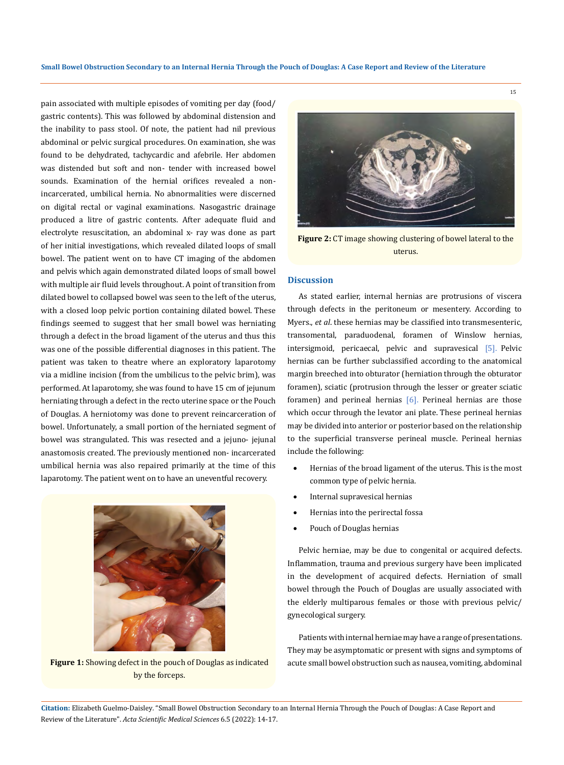pain associated with multiple episodes of vomiting per day (food/ gastric contents). This was followed by abdominal distension and the inability to pass stool. Of note, the patient had nil previous abdominal or pelvic surgical procedures. On examination, she was found to be dehydrated, tachycardic and afebrile. Her abdomen was distended but soft and non- tender with increased bowel sounds. Examination of the hernial orifices revealed a nonincarcerated, umbilical hernia. No abnormalities were discerned on digital rectal or vaginal examinations. Nasogastric drainage produced a litre of gastric contents. After adequate fluid and electrolyte resuscitation, an abdominal x- ray was done as part of her initial investigations, which revealed dilated loops of small bowel. The patient went on to have CT imaging of the abdomen and pelvis which again demonstrated dilated loops of small bowel with multiple air fluid levels throughout. A point of transition from dilated bowel to collapsed bowel was seen to the left of the uterus, with a closed loop pelvic portion containing dilated bowel. These findings seemed to suggest that her small bowel was herniating through a defect in the broad ligament of the uterus and thus this was one of the possible differential diagnoses in this patient. The patient was taken to theatre where an exploratory laparotomy via a midline incision (from the umbilicus to the pelvic brim), was performed. At laparotomy, she was found to have 15 cm of jejunum herniating through a defect in the recto uterine space or the Pouch of Douglas. A herniotomy was done to prevent reincarceration of bowel. Unfortunately, a small portion of the herniated segment of bowel was strangulated. This was resected and a jejuno- jejunal anastomosis created. The previously mentioned non- incarcerated umbilical hernia was also repaired primarily at the time of this laparotomy. The patient went on to have an uneventful recovery.



**Figure 1:** Showing defect in the pouch of Douglas as indicated by the forceps.



15

**Figure 2:** CT image showing clustering of bowel lateral to the uterus.

#### **Discussion**

As stated earlier, internal hernias are protrusions of viscera through defects in the peritoneum or mesentery. According to Myers., *et al*. these hernias may be classified into transmesenteric, transomental, paraduodenal, foramen of Winslow hernias, intersigmoid, pericaecal, pelvic and supravesical [5]. Pelvic hernias can be further subclassified according to the anatomical margin breeched into obturator (herniation through the obturator foramen), sciatic (protrusion through the lesser or greater sciatic foramen) and perineal hernias [6]. Perineal hernias are those which occur through the levator ani plate. These perineal hernias may be divided into anterior or posterior based on the relationship to the superficial transverse perineal muscle. Perineal hernias include the following:

- Hernias of the broad ligament of the uterus. This is the most common type of pelvic hernia.
- Internal supravesical hernias
- Hernias into the perirectal fossa
- Pouch of Douglas hernias

Pelvic herniae, may be due to congenital or acquired defects. Inflammation, trauma and previous surgery have been implicated in the development of acquired defects. Herniation of small bowel through the Pouch of Douglas are usually associated with the elderly multiparous females or those with previous pelvic/ gynecological surgery.

Patients with internal herniae may have a range of presentations. They may be asymptomatic or present with signs and symptoms of acute small bowel obstruction such as nausea, vomiting, abdominal

**Citation:** Elizabeth Guelmo-Daisley*.* "Small Bowel Obstruction Secondary to an Internal Hernia Through the Pouch of Douglas: A Case Report and Review of the Literature". *Acta Scientific Medical Sciences* 6.5 (2022): 14-17.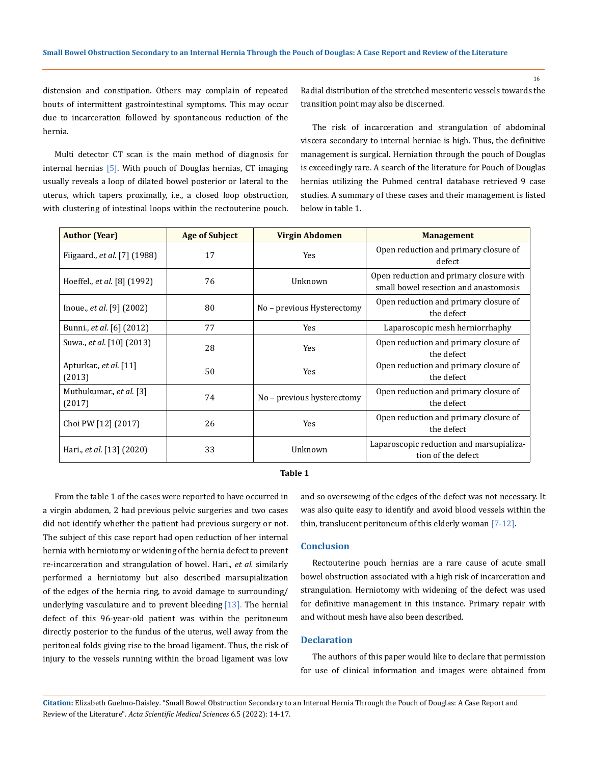distension and constipation. Others may complain of repeated bouts of intermittent gastrointestinal symptoms. This may occur due to incarceration followed by spontaneous reduction of the hernia.

Radial distribution of the stretched mesenteric vessels towards the transition point may also be discerned.

Multi detector CT scan is the main method of diagnosis for internal hernias [5]. With pouch of Douglas hernias, CT imaging usually reveals a loop of dilated bowel posterior or lateral to the uterus, which tapers proximally, i.e., a closed loop obstruction, with clustering of intestinal loops within the rectouterine pouch.

The risk of incarceration and strangulation of abdominal viscera secondary to internal herniae is high. Thus, the definitive management is surgical. Herniation through the pouch of Douglas is exceedingly rare. A search of the literature for Pouch of Douglas hernias utilizing the Pubmed central database retrieved 9 case studies. A summary of these cases and their management is listed below in table 1.

| <b>Author (Year)</b>               | <b>Age of Subject</b> | Virgin Abdomen             | <b>Management</b>                                                                |
|------------------------------------|-----------------------|----------------------------|----------------------------------------------------------------------------------|
| Fiigaard., et al. [7] (1988)       | 17                    | Yes                        | Open reduction and primary closure of<br>defect                                  |
| Hoeffel., et al. [8] (1992)        | 76                    | Unknown                    | Open reduction and primary closure with<br>small bowel resection and anastomosis |
| Inoue., <i>et al.</i> [9] $(2002)$ | 80                    | No - previous Hysterectomy | Open reduction and primary closure of<br>the defect                              |
| Bunni., et al. [6] (2012)          | 77                    | <b>Yes</b>                 | Laparoscopic mesh herniorrhaphy                                                  |
| Suwa., <i>et al.</i> [10] (2013)   | 28                    | Yes                        | Open reduction and primary closure of<br>the defect                              |
| Apturkar., et al. [11]<br>(2013)   | 50                    | Yes                        | Open reduction and primary closure of<br>the defect                              |
| Muthukumar., et al. [3]<br>(2017)  | 74                    | No - previous hysterectomy | Open reduction and primary closure of<br>the defect                              |
| Choi PW [12] (2017)                | 26                    | Yes                        | Open reduction and primary closure of<br>the defect                              |
| Hari., et al. [13] (2020)          | 33                    | Unknown                    | Laparoscopic reduction and marsupializa-<br>tion of the defect                   |

#### **Table 1**

From the table 1 of the cases were reported to have occurred in a virgin abdomen, 2 had previous pelvic surgeries and two cases did not identify whether the patient had previous surgery or not. The subject of this case report had open reduction of her internal hernia with herniotomy or widening of the hernia defect to prevent re-incarceration and strangulation of bowel. Hari., *et al.* similarly performed a herniotomy but also described marsupialization of the edges of the hernia ring, to avoid damage to surrounding/ underlying vasculature and to prevent bleeding  $[13]$ . The hernial defect of this 96-year-old patient was within the peritoneum directly posterior to the fundus of the uterus, well away from the peritoneal folds giving rise to the broad ligament. Thus, the risk of injury to the vessels running within the broad ligament was low

and so oversewing of the edges of the defect was not necessary. It was also quite easy to identify and avoid blood vessels within the thin, translucent peritoneum of this elderly woman [7-12].

### **Conclusion**

Rectouterine pouch hernias are a rare cause of acute small bowel obstruction associated with a high risk of incarceration and strangulation. Herniotomy with widening of the defect was used for definitive management in this instance. Primary repair with and without mesh have also been described.

# **Declaration**

The authors of this paper would like to declare that permission for use of clinical information and images were obtained from

**Citation:** Elizabeth Guelmo-Daisley*.* "Small Bowel Obstruction Secondary to an Internal Hernia Through the Pouch of Douglas: A Case Report and Review of the Literature". *Acta Scientific Medical Sciences* 6.5 (2022): 14-17.

16